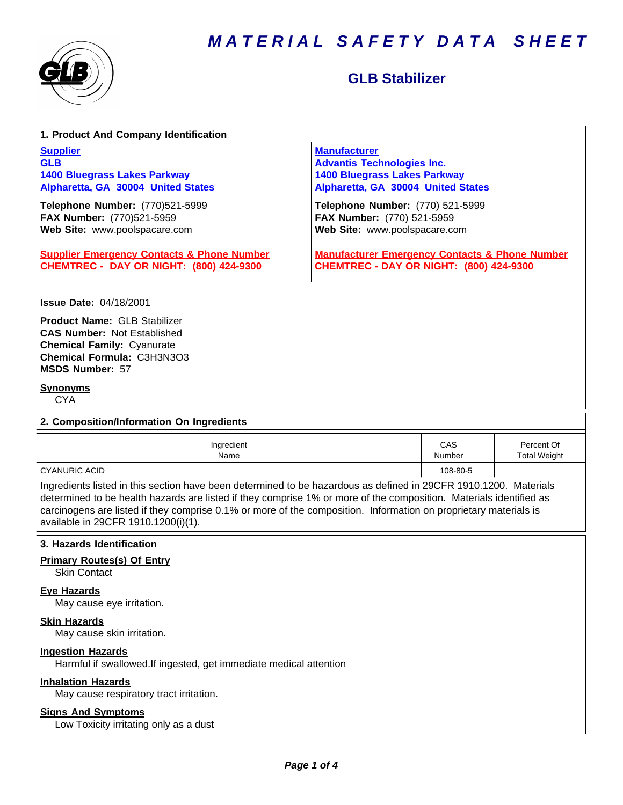

# **GLB Stabilizer**

| 1. Product And Company Identification                                                                                                                                                                                                                                                                                                                                                             |                                                                                                                                       |               |  |                                   |  |
|---------------------------------------------------------------------------------------------------------------------------------------------------------------------------------------------------------------------------------------------------------------------------------------------------------------------------------------------------------------------------------------------------|---------------------------------------------------------------------------------------------------------------------------------------|---------------|--|-----------------------------------|--|
| <b>Supplier</b><br><b>GLB</b><br><b>1400 Bluegrass Lakes Parkway</b><br>Alpharetta, GA 30004 United States                                                                                                                                                                                                                                                                                        | <b>Manufacturer</b><br><b>Advantis Technologies Inc.</b><br><b>1400 Bluegrass Lakes Parkway</b><br>Alpharetta, GA 30004 United States |               |  |                                   |  |
| Telephone Number: (770)521-5999<br>FAX Number: (770)521-5959<br>Web Site: www.poolspacare.com                                                                                                                                                                                                                                                                                                     | Telephone Number: (770) 521-5999<br>FAX Number: (770) 521-5959<br>Web Site: www.poolspacare.com                                       |               |  |                                   |  |
| <b>Supplier Emergency Contacts &amp; Phone Number</b><br><b>CHEMTREC - DAY OR NIGHT: (800) 424-9300</b>                                                                                                                                                                                                                                                                                           | <b>Manufacturer Emergency Contacts &amp; Phone Number</b><br>CHEMTREC - DAY OR NIGHT: (800) 424-9300                                  |               |  |                                   |  |
| <b>Issue Date: 04/18/2001</b><br><b>Product Name: GLB Stabilizer</b><br><b>CAS Number: Not Established</b><br><b>Chemical Family: Cyanurate</b><br>Chemical Formula: C3H3N3O3<br><b>MSDS Number: 57</b>                                                                                                                                                                                           |                                                                                                                                       |               |  |                                   |  |
| <u>Synonyms</u><br><b>CYA</b>                                                                                                                                                                                                                                                                                                                                                                     |                                                                                                                                       |               |  |                                   |  |
| 2. Composition/Information On Ingredients                                                                                                                                                                                                                                                                                                                                                         |                                                                                                                                       |               |  |                                   |  |
| Ingredient<br>Name                                                                                                                                                                                                                                                                                                                                                                                |                                                                                                                                       | CAS<br>Number |  | Percent Of<br><b>Total Weight</b> |  |
| <b>CYANURIC ACID</b>                                                                                                                                                                                                                                                                                                                                                                              |                                                                                                                                       | 108-80-5      |  |                                   |  |
| Ingredients listed in this section have been determined to be hazardous as defined in 29CFR 1910.1200. Materials<br>determined to be health hazards are listed if they comprise 1% or more of the composition. Materials identified as<br>carcinogens are listed if they comprise 0.1% or more of the composition. Information on proprietary materials is<br>available in 29CFR 1910.1200(i)(1). |                                                                                                                                       |               |  |                                   |  |
| 3. Hazards Identification                                                                                                                                                                                                                                                                                                                                                                         |                                                                                                                                       |               |  |                                   |  |
| <b>Primary Routes(s) Of Entry</b><br><b>Skin Contact</b>                                                                                                                                                                                                                                                                                                                                          |                                                                                                                                       |               |  |                                   |  |
| <b>Eye Hazards</b><br>May cause eye irritation.                                                                                                                                                                                                                                                                                                                                                   |                                                                                                                                       |               |  |                                   |  |
| <b>Skin Hazards</b><br>May cause skin irritation.                                                                                                                                                                                                                                                                                                                                                 |                                                                                                                                       |               |  |                                   |  |
| <b>Ingestion Hazards</b><br>Harmful if swallowed.If ingested, get immediate medical attention                                                                                                                                                                                                                                                                                                     |                                                                                                                                       |               |  |                                   |  |
| <b>Inhalation Hazards</b><br>May cause respiratory tract irritation.                                                                                                                                                                                                                                                                                                                              |                                                                                                                                       |               |  |                                   |  |
| <b>Signs And Symptoms</b><br>Low Toxicity irritating only as a dust                                                                                                                                                                                                                                                                                                                               |                                                                                                                                       |               |  |                                   |  |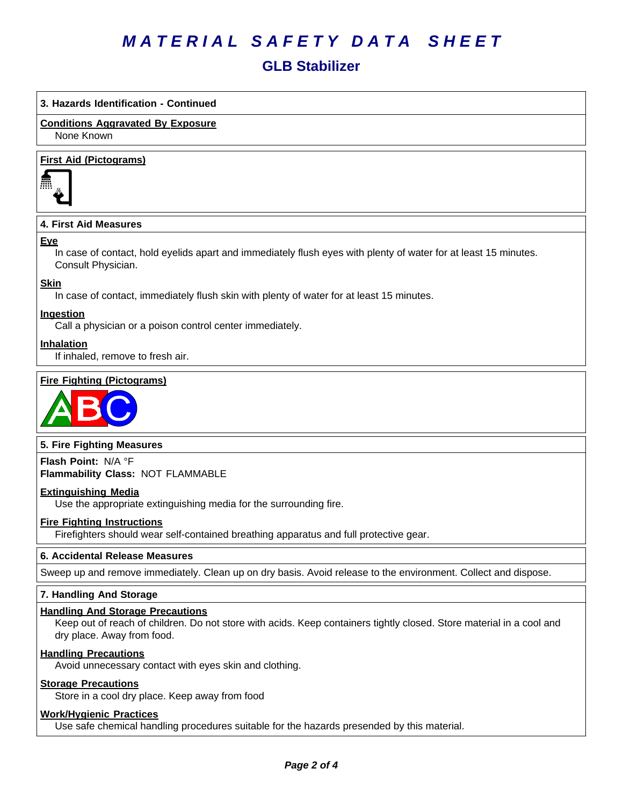# **GLB Stabilizer**

# **3. Hazards Identification - Continued**

# **Conditions Aggravated By Exposure**

None Known

## **First Aid (Pictograms)**



# **4. First Aid Measures**

#### **Eye**

In case of contact, hold eyelids apart and immediately flush eyes with plenty of water for at least 15 minutes. Consult Physician.

## **Skin**

In case of contact, immediately flush skin with plenty of water for at least 15 minutes.

## **Ingestion**

Call a physician or a poison control center immediately.

## **Inhalation**

If inhaled, remove to fresh air.

## **Fire Fighting (Pictograms)**



## **5. Fire Fighting Measures**

**Flash Point:** N/A°F **Flammability Class:** NOT FLAMMABLE

## **Extinguishing Media**

Use the appropriate extinguishing media for the surrounding fire.

## **Fire Fighting Instructions**

Firefighters should wear self-contained breathing apparatus and full protective gear.

## **6.Accidental ReleaseMeasures**

Sweep up and remove immediately. Clean up on dry basis. Avoid release to the environment. Collect and dispose.

#### **7. Handling And Storage**

#### **Handling And Storage Precautions**

Keep out of reach of children. Do not store with acids. Keep containers tightly closed. Store material in a cool and dry place. Away from food.

#### **Handling Precautions**

Avoid unnecessary contact with eyes skin and clothing.

## **Storage Precautions**

Store in a cool dry place. Keep away from food

# **Work/Hygienic Practices**

Use safe chemical handling procedures suitable for the hazards presended by this material.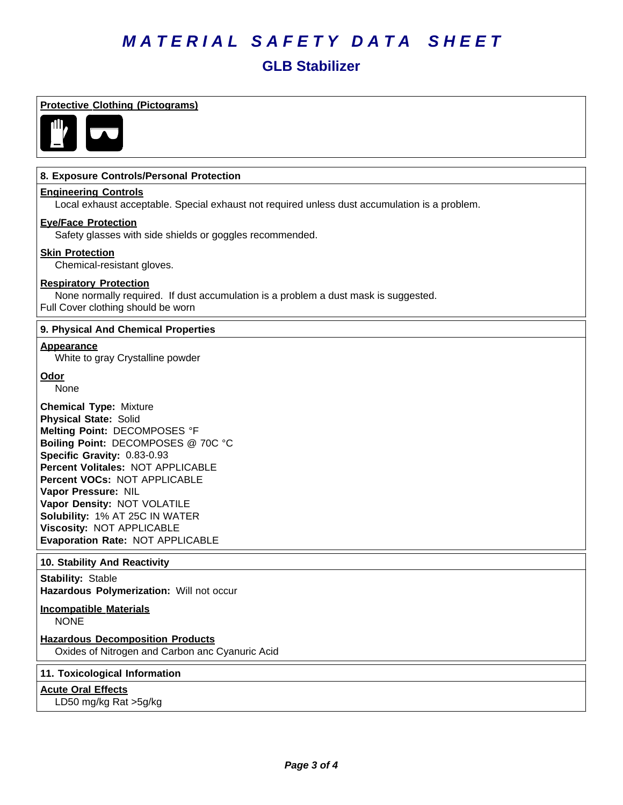# **GLB Stabilizer**

#### **Protective Clothing (Pictograms)**



## **8. Exposure Controls/Personal Protection**

#### **Engineering Controls**

Local exhaust acceptable. Special exhaust not required unless dust accumulation is a problem.

# **Eye/Face Protection**

Safety glasses with side shields or goggles recommended.

#### **Skin Protection**

Chemical-resistant gloves.

#### **Respiratory Protection**

None normally required. If dust accumulation is a problem a dust mask is suggested. Full Cover clothing should be worn

#### **9. Physical And Chemical Properties**

#### **Appearance**

White to gray Crystalline powder

#### **Odor**

None

**Chemical Type:** Mixture **Physical State:** Solid **Melting Point:** DECOMPOSES °F **Boiling Point:** DECOMPOSES @ 70C °C **Specific Gravity:** 0.83-0.93 **Percent Volitales:** NOT APPLICABLE **Percent VOCs:** NOT APPLICABLE **Vapor Pressure:** NIL **Vapor Density:** NOT VOLATILE **Solubility: 1% AT 25C IN WATER Viscosity: NOT APPLICABLE Evaporation Rate:** NOT APPLICABLE

## **10. Stability And Reactivity**

**Stability: Stable** Hazardous Polymerization: Will not occur

# **Incompatible Materials**

NONE

# **Hazardous Decomposition Products**

Oxides of Nitrogen and Carbon anc Cyanuric Acid

#### **11. Toxicological Information**

**Acute Oral Effects**

LD50 mg/kg Rat >5g/kg